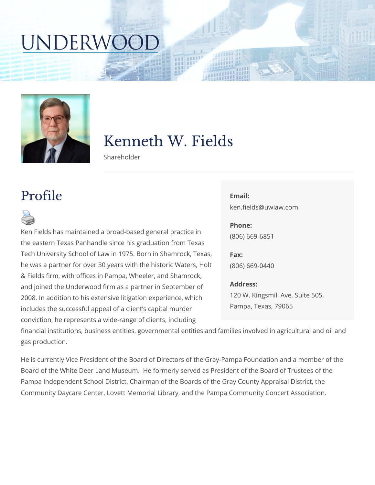# Kenneth W. Fields

Shareholder

#### Profile

Ken Fields has maintained a broad-based g the eastern Texas Panhandle since his grad Tech University School of Law in 1975. Bor he was a partner for over 30 years with the & Fields firm, with offices in Pampa, Wheel and joined the Underwood firm as a partner 2008. In addition to his extensive litigation includes the successful appeal of a client s

## Email: ken.fields@uwlaw.com Phone: (806) 669-6851 Fax: (806) 669-0440 Address: 120 W. Kingsmill Ave, Suite 505 Pampa, Texas, 79065

conviction, he represents a wide-range of chemes, including

financial institutions, business entities, governmental entities and families i gas production.

He is currently Vice President of the Board of Directors of the Gray-Pampa F Board of the White Deer Land Museum. He formerly served as President of t Pampa Independent School District, Chairman of the Boards of the Gray Cour Community Daycare Center, Lovett Memorial Library, and the Pampa Commun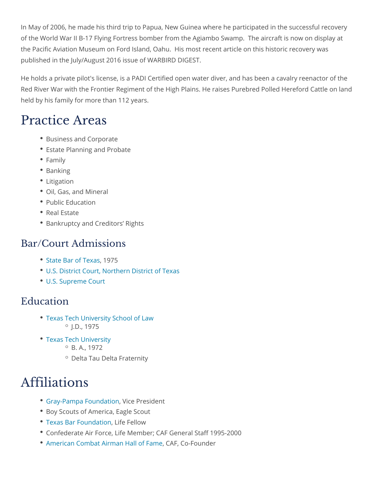In May of 2006, he made his third trip to Papua, New Guinea where he partic of the World War II B-17 Flying Fortress bomber from the Agiambo Swamp. T the Pacific Aviation Museum on Ford Island, Oahu. His most recent article o published in the July/August 2016 issue of WARBIRD DIGEST.

He holds a private pilot's license, is a PADI Certified open water diver, and Red River War with the Frontier Regiment of the High Plains. He raises Pure held by his family for more than 112 years.

### Practice Areas

- Business and Corporate
- Estate Planning and Probate
- Family
- Banking
- Litigation
- Oil, Gas, and Mineral
- Public Education
- Real Estate
- **Bankruptcy and Creditors Rights**

#### Bar/Court Admissions

- [State Bar of](https://www.texasbar.com/), 11975s
- [U.S. District Court, Northern](http://www.txnd.uscourts.gov/) District of Texas
- [U.S. Supreme](https://www.supremecourt.gov/) Court

#### Education

- [Texas Tech University S](http://www.law.ttu.edu/)chool of Law  $^{\circ}$  J.D., 1975
- [Texas Tech Un](http://www.ttu.edu/)iversity  $^{\circ}$  B. A., 1972
	- Delta Tau Delta Fraternity

### Affiliations

- [Gray-Pampa Fou](http://www.nonprofitfacts.com/TX/Gray-Pampa-Foundation-Inc.html)n WackeonPresident
- Boy Scouts of America, Eagle Scout
- [Texas Bar Fou](http://txbf.org/)ndateofiellow
- Confederate Air Force, Life Member; CAF General Staff 1995-2000
- [American Combat Airman](http://www.preddy-foundation.org/memorials/american-combat-airman-hall-of-fame/) H&IAFo,f <del>CanFo</del>under